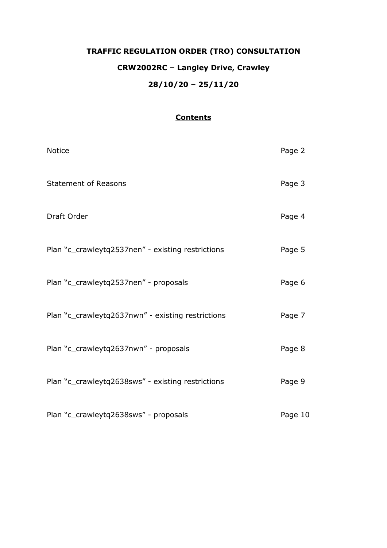# **TRAFFIC REGULATION ORDER (TRO) CONSULTATION CRW2002RC – Langley Drive, Crawley 28/10/20 – 25/11/20**

## **Contents**

| Notice                                            | Page 2  |
|---------------------------------------------------|---------|
| <b>Statement of Reasons</b>                       | Page 3  |
| Draft Order                                       | Page 4  |
| Plan "c_crawleytq2537nen" - existing restrictions | Page 5  |
| Plan "c_crawleytq2537nen" - proposals             | Page 6  |
| Plan "c_crawleytq2637nwn" - existing restrictions | Page 7  |
| Plan "c_crawleytq2637nwn" - proposals             | Page 8  |
| Plan "c_crawleytq2638sws" - existing restrictions | Page 9  |
| Plan "c_crawleytq2638sws" - proposals             | Page 10 |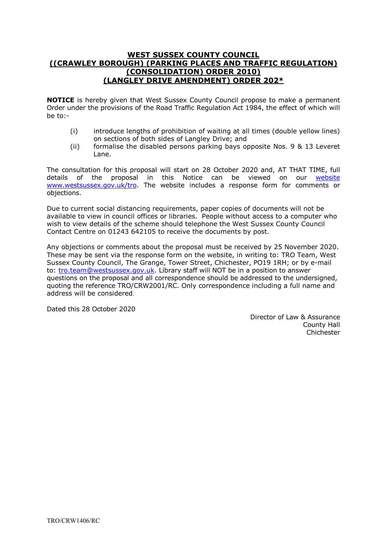## **WEST SUSSEX COUNTY COUNCIL ((CRAWLEY BOROUGH) (PARKING PLACES AND TRAFFIC REGULATION) (CONSOLIDATION) ORDER 2010) (LANGLEY DRIVE AMENDMENT) ORDER 202\***

**NOTICE** is hereby given that West Sussex County Council propose to make a permanent Order under the provisions of the Road Traffic Regulation Act 1984, the effect of which will be to:-

- (i) introduce lengths of prohibition of waiting at all times (double yellow lines) on sections of both sides of Langley Drive; and
- (ii) formalise the disabled persons parking bays opposite Nos. 9 & 13 Leveret Lane.

The consultation for this proposal will start on 28 October 2020 and, AT THAT TIME, full details of the proposal in this Notice can be viewed on our [website](https://www.westsussex.gov.uk/roads-and-travel/traffic-regulation-orders/) [www.westsussex.gov.uk/tro.](http://www.westsussex.gov.uk/tro) The website includes a response form for comments or objections.

Due to current social distancing requirements, paper copies of documents will not be available to view in council offices or libraries. People without access to a computer who wish to view details of the scheme should telephone the West Sussex County Council Contact Centre on 01243 642105 to receive the documents by post.

Any objections or comments about the proposal must be received by 25 November 2020. These may be sent via the response form on the website, in writing to: TRO Team, West Sussex County Council, The Grange, Tower Street, Chichester, PO19 1RH; or by e-mail to: [tro.team@westsussex.gov.uk.](mailto:tro.team@westsussex.gov.uk) Library staff will NOT be in a position to answer questions on the proposal and all correspondence should be addressed to the undersigned, quoting the reference TRO/CRW2001/RC. Only correspondence including a full name and address will be considered.

Dated this 28 October 2020

 Director of Law & Assurance County Hall Chichester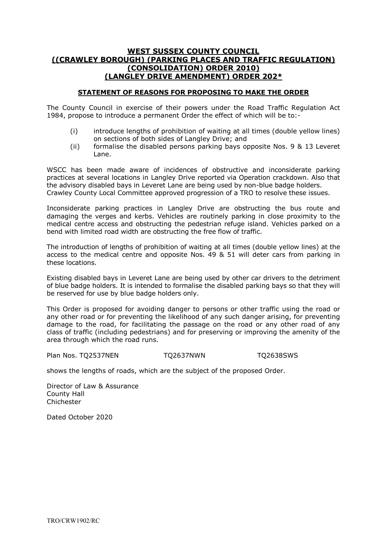## **WEST SUSSEX COUNTY COUNCIL ((CRAWLEY BOROUGH) (PARKING PLACES AND TRAFFIC REGULATION) (CONSOLIDATION) ORDER 2010) (LANGLEY DRIVE AMENDMENT) ORDER 202\***

#### **STATEMENT OF REASONS FOR PROPOSING TO MAKE THE ORDER**

The County Council in exercise of their powers under the Road Traffic Regulation Act 1984, propose to introduce a permanent Order the effect of which will be to:-

- (i) introduce lengths of prohibition of waiting at all times (double yellow lines) on sections of both sides of Langley Drive; and
- (ii) formalise the disabled persons parking bays opposite Nos. 9 & 13 Leveret Lane.

WSCC has been made aware of incidences of obstructive and inconsiderate parking practices at several locations in Langley Drive reported via Operation crackdown. Also that the advisory disabled bays in Leveret Lane are being used by non-blue badge holders. Crawley County Local Committee approved progression of a TRO to resolve these issues.

Inconsiderate parking practices in Langley Drive are obstructing the bus route and damaging the verges and kerbs. Vehicles are routinely parking in close proximity to the medical centre access and obstructing the pedestrian refuge island. Vehicles parked on a bend with limited road width are obstructing the free flow of traffic.

The introduction of lengths of prohibition of waiting at all times (double yellow lines) at the access to the medical centre and opposite Nos. 49 & 51 will deter cars from parking in these locations.

Existing disabled bays in Leveret Lane are being used by other car drivers to the detriment of blue badge holders. It is intended to formalise the disabled parking bays so that they will be reserved for use by blue badge holders only.

This Order is proposed for avoiding danger to persons or other traffic using the road or any other road or for preventing the likelihood of any such danger arising, for preventing damage to the road, for facilitating the passage on the road or any other road of any class of traffic (including pedestrians) and for preserving or improving the amenity of the area through which the road runs.

Plan Nos. TQ2537NEN TQ2637NWN TQ2638SWS

shows the lengths of roads, which are the subject of the proposed Order.

Director of Law & Assurance County Hall **Chichester** 

Dated October 2020